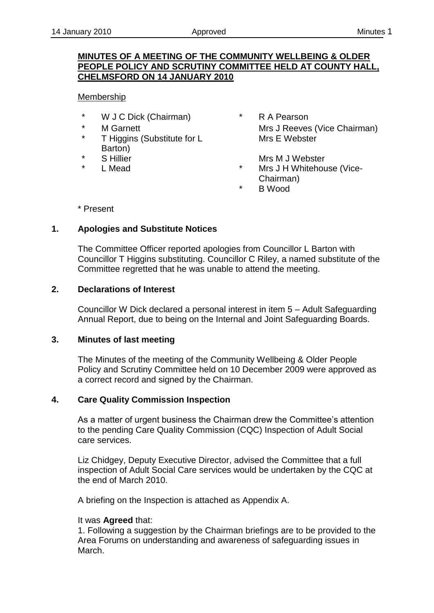## **MINUTES OF A MEETING OF THE COMMUNITY WELLBEING & OLDER PEOPLE POLICY AND SCRUTINY COMMITTEE HELD AT COUNTY HALL, CHELMSFORD ON 14 JANUARY 2010**

## Membership

- \* W J C Dick (Chairman) \* R A Pearson
- 
- T Higgins (Substitute for L Barton)
- 
- 
- \* M Garnett Mearnett Mrs J Reeves (Vice Chairman) Mrs E Webster
- \* S Hillier Mrs M J Webster Mrs M J Webster
	- \* L Mead \* Mrs J H Whitehouse (Vice-Chairman)
		- **B** Wood

\* Present

## **1. Apologies and Substitute Notices**

The Committee Officer reported apologies from Councillor L Barton with Councillor T Higgins substituting. Councillor C Riley, a named substitute of the Committee regretted that he was unable to attend the meeting.

## **2. Declarations of Interest**

Councillor W Dick declared a personal interest in item 5 – Adult Safeguarding Annual Report, due to being on the Internal and Joint Safeguarding Boards.

## **3. Minutes of last meeting**

The Minutes of the meeting of the Community Wellbeing & Older People Policy and Scrutiny Committee held on 10 December 2009 were approved as a correct record and signed by the Chairman.

## **4. Care Quality Commission Inspection**

As a matter of urgent business the Chairman drew the Committee's attention to the pending Care Quality Commission (CQC) Inspection of Adult Social care services.

Liz Chidgey, Deputy Executive Director, advised the Committee that a full inspection of Adult Social Care services would be undertaken by the CQC at the end of March 2010.

A briefing on the Inspection is attached as Appendix A.

## It was **Agreed** that:

1. Following a suggestion by the Chairman briefings are to be provided to the Area Forums on understanding and awareness of safeguarding issues in March.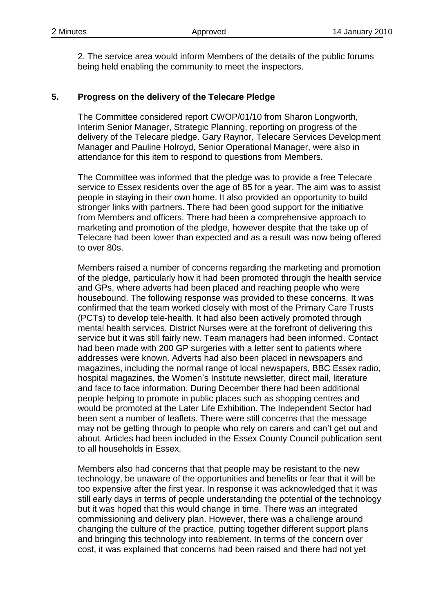2. The service area would inform Members of the details of the public forums being held enabling the community to meet the inspectors.

### **5. Progress on the delivery of the Telecare Pledge**

The Committee considered report CWOP/01/10 from Sharon Longworth, Interim Senior Manager, Strategic Planning, reporting on progress of the delivery of the Telecare pledge. Gary Raynor, Telecare Services Development Manager and Pauline Holroyd, Senior Operational Manager, were also in attendance for this item to respond to questions from Members.

The Committee was informed that the pledge was to provide a free Telecare service to Essex residents over the age of 85 for a year. The aim was to assist people in staying in their own home. It also provided an opportunity to build stronger links with partners. There had been good support for the initiative from Members and officers. There had been a comprehensive approach to marketing and promotion of the pledge, however despite that the take up of Telecare had been lower than expected and as a result was now being offered to over 80s.

Members raised a number of concerns regarding the marketing and promotion of the pledge, particularly how it had been promoted through the health service and GPs, where adverts had been placed and reaching people who were housebound. The following response was provided to these concerns. It was confirmed that the team worked closely with most of the Primary Care Trusts (PCTs) to develop tele-health. It had also been actively promoted through mental health services. District Nurses were at the forefront of delivering this service but it was still fairly new. Team managers had been informed. Contact had been made with 200 GP surgeries with a letter sent to patients where addresses were known. Adverts had also been placed in newspapers and magazines, including the normal range of local newspapers, BBC Essex radio, hospital magazines, the Women's Institute newsletter, direct mail, literature and face to face information. During December there had been additional people helping to promote in public places such as shopping centres and would be promoted at the Later Life Exhibition. The Independent Sector had been sent a number of leaflets. There were still concerns that the message may not be getting through to people who rely on carers and can't get out and about. Articles had been included in the Essex County Council publication sent to all households in Essex.

Members also had concerns that that people may be resistant to the new technology, be unaware of the opportunities and benefits or fear that it will be too expensive after the first year. In response it was acknowledged that it was still early days in terms of people understanding the potential of the technology but it was hoped that this would change in time. There was an integrated commissioning and delivery plan. However, there was a challenge around changing the culture of the practice, putting together different support plans and bringing this technology into reablement. In terms of the concern over cost, it was explained that concerns had been raised and there had not yet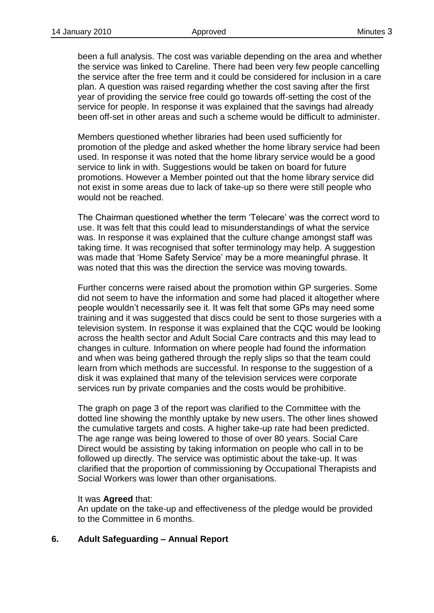been a full analysis. The cost was variable depending on the area and whether the service was linked to Careline. There had been very few people cancelling the service after the free term and it could be considered for inclusion in a care plan. A question was raised regarding whether the cost saving after the first year of providing the service free could go towards off-setting the cost of the service for people. In response it was explained that the savings had already been off-set in other areas and such a scheme would be difficult to administer.

Members questioned whether libraries had been used sufficiently for promotion of the pledge and asked whether the home library service had been used. In response it was noted that the home library service would be a good service to link in with. Suggestions would be taken on board for future promotions. However a Member pointed out that the home library service did not exist in some areas due to lack of take-up so there were still people who would not be reached.

The Chairman questioned whether the term 'Telecare' was the correct word to use. It was felt that this could lead to misunderstandings of what the service was. In response it was explained that the culture change amongst staff was taking time. It was recognised that softer terminology may help. A suggestion was made that 'Home Safety Service' may be a more meaningful phrase. It was noted that this was the direction the service was moving towards.

Further concerns were raised about the promotion within GP surgeries. Some did not seem to have the information and some had placed it altogether where people wouldn't necessarily see it. It was felt that some GPs may need some training and it was suggested that discs could be sent to those surgeries with a television system. In response it was explained that the CQC would be looking across the health sector and Adult Social Care contracts and this may lead to changes in culture. Information on where people had found the information and when was being gathered through the reply slips so that the team could learn from which methods are successful. In response to the suggestion of a disk it was explained that many of the television services were corporate services run by private companies and the costs would be prohibitive.

The graph on page 3 of the report was clarified to the Committee with the dotted line showing the monthly uptake by new users. The other lines showed the cumulative targets and costs. A higher take-up rate had been predicted. The age range was being lowered to those of over 80 years. Social Care Direct would be assisting by taking information on people who call in to be followed up directly. The service was optimistic about the take-up. It was clarified that the proportion of commissioning by Occupational Therapists and Social Workers was lower than other organisations.

## It was **Agreed** that:

An update on the take-up and effectiveness of the pledge would be provided to the Committee in 6 months.

## **6. Adult Safeguarding – Annual Report**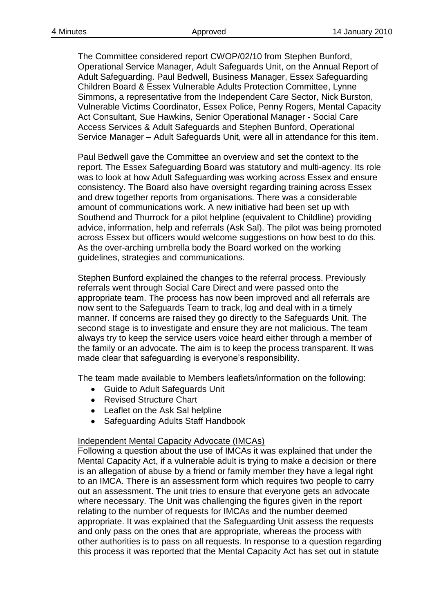The Committee considered report CWOP/02/10 from Stephen Bunford, Operational Service Manager, Adult Safeguards Unit, on the Annual Report of Adult Safeguarding. Paul Bedwell, [Business Manager,](http://essexcontacts/role_detail.asp?ID=81022) [Essex Safeguarding](http://essexcontacts/hierarchy_detail.asp?ID=%2024237)  [Children Board & Essex Vulnerable Adults Protection Committee, L](http://essexcontacts/hierarchy_detail.asp?ID=%2024237)ynne Simmons, a representative from the Independent Care Sector, Nick Burston, Vulnerable Victims Coordinator, Essex Police, Penny Rogers, Mental Capacity Act Consultant, Sue Hawkins, [Senior Operational Manager -](http://essexcontacts/role_detail.asp?ID=78527) Social Care [Access Services & Adult Safeguards](http://essexcontacts/role_detail.asp?ID=78527) and Stephen Bunford, Operational Service Manager – Adult Safeguards Unit, were all in attendance for this item.

Paul Bedwell gave the Committee an overview and set the context to the report. The Essex Safeguarding Board was statutory and multi-agency. Its role was to look at how Adult Safeguarding was working across Essex and ensure consistency. The Board also have oversight regarding training across Essex and drew together reports from organisations. There was a considerable amount of communications work. A new initiative had been set up with Southend and Thurrock for a pilot helpline (equivalent to Childline) providing advice, information, help and referrals (Ask Sal). The pilot was being promoted across Essex but officers would welcome suggestions on how best to do this. As the over-arching umbrella body the Board worked on the working guidelines, strategies and communications.

Stephen Bunford explained the changes to the referral process. Previously referrals went through Social Care Direct and were passed onto the appropriate team. The process has now been improved and all referrals are now sent to the Safeguards Team to track, log and deal with in a timely manner. If concerns are raised they go directly to the Safeguards Unit. The second stage is to investigate and ensure they are not malicious. The team always try to keep the service users voice heard either through a member of the family or an advocate. The aim is to keep the process transparent. It was made clear that safeguarding is everyone's responsibility.

The team made available to Members leaflets/information on the following:

- Guide to Adult Safeguards Unit
- Revised Structure Chart
- Leaflet on the Ask Sal helpline
- Safeguarding Adults Staff Handbook

## Independent Mental Capacity Advocate (IMCAs)

Following a question about the use of IMCAs it was explained that under the Mental Capacity Act, if a vulnerable adult is trying to make a decision or there is an allegation of abuse by a friend or family member they have a legal right to an IMCA. There is an assessment form which requires two people to carry out an assessment. The unit tries to ensure that everyone gets an advocate where necessary. The Unit was challenging the figures given in the report relating to the number of requests for IMCAs and the number deemed appropriate. It was explained that the Safeguarding Unit assess the requests and only pass on the ones that are appropriate, whereas the process with other authorities is to pass on all requests. In response to a question regarding this process it was reported that the Mental Capacity Act has set out in statute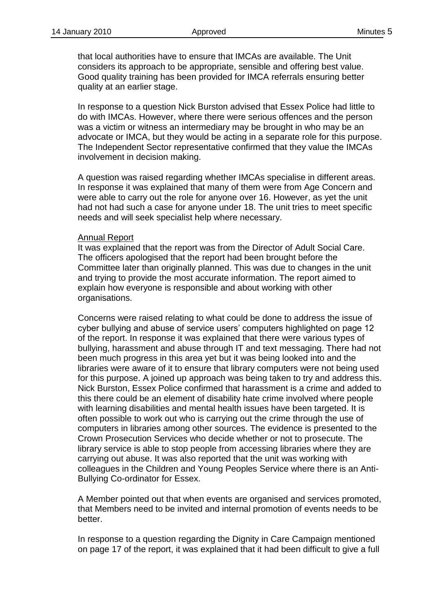that local authorities have to ensure that IMCAs are available. The Unit considers its approach to be appropriate, sensible and offering best value. Good quality training has been provided for IMCA referrals ensuring better quality at an earlier stage.

In response to a question Nick Burston advised that Essex Police had little to do with IMCAs. However, where there were serious offences and the person was a victim or witness an intermediary may be brought in who may be an advocate or IMCA, but they would be acting in a separate role for this purpose. The Independent Sector representative confirmed that they value the IMCAs involvement in decision making.

A question was raised regarding whether IMCAs specialise in different areas. In response it was explained that many of them were from Age Concern and were able to carry out the role for anyone over 16. However, as yet the unit had not had such a case for anyone under 18. The unit tries to meet specific needs and will seek specialist help where necessary.

### Annual Report

It was explained that the report was from the Director of Adult Social Care. The officers apologised that the report had been brought before the Committee later than originally planned. This was due to changes in the unit and trying to provide the most accurate information. The report aimed to explain how everyone is responsible and about working with other organisations.

Concerns were raised relating to what could be done to address the issue of cyber bullying and abuse of service users' computers highlighted on page 12 of the report. In response it was explained that there were various types of bullying, harassment and abuse through IT and text messaging. There had not been much progress in this area yet but it was being looked into and the libraries were aware of it to ensure that library computers were not being used for this purpose. A joined up approach was being taken to try and address this. Nick Burston, Essex Police confirmed that harassment is a crime and added to this there could be an element of disability hate crime involved where people with learning disabilities and mental health issues have been targeted. It is often possible to work out who is carrying out the crime through the use of computers in libraries among other sources. The evidence is presented to the Crown Prosecution Services who decide whether or not to prosecute. The library service is able to stop people from accessing libraries where they are carrying out abuse. It was also reported that the unit was working with colleagues in the Children and Young Peoples Service where there is an Anti-Bullying Co-ordinator for Essex.

A Member pointed out that when events are organised and services promoted, that Members need to be invited and internal promotion of events needs to be better.

In response to a question regarding the Dignity in Care Campaign mentioned on page 17 of the report, it was explained that it had been difficult to give a full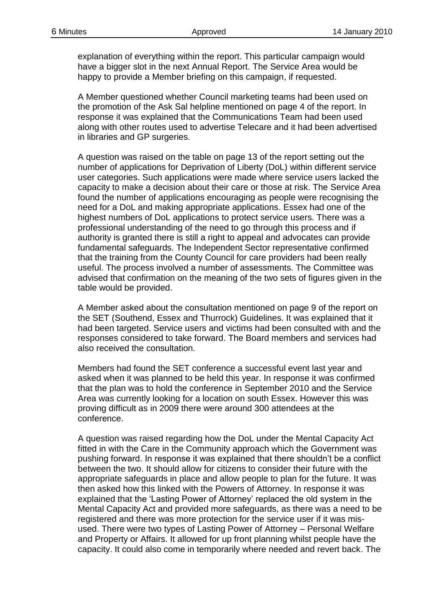explanation of everything within the report. This particular campaign would have a bigger slot in the next Annual Report. The Service Area would be happy to provide a Member briefing on this campaign, if requested.

A Member questioned whether Council marketing teams had been used on the promotion of the Ask Sal helpline mentioned on page 4 of the report. In response it was explained that the Communications Team had been used along with other routes used to advertise Telecare and it had been advertised in libraries and GP surgeries.

A question was raised on the table on page 13 of the report setting out the number of applications for Deprivation of Liberty (DoL) within different service user categories. Such applications were made where service users lacked the capacity to make a decision about their care or those at risk. The Service Area found the number of applications encouraging as people were recognising the need for a DoL and making appropriate applications. Essex had one of the highest numbers of DoL applications to protect service users. There was a professional understanding of the need to go through this process and if authority is granted there is still a right to appeal and advocates can provide fundamental safeguards. The Independent Sector representative confirmed that the training from the County Council for care providers had been really useful. The process involved a number of assessments. The Committee was advised that confirmation on the meaning of the two sets of figures given in the table would be provided.

A Member asked about the consultation mentioned on page 9 of the report on the SET (Southend, Essex and Thurrock) Guidelines. It was explained that it had been targeted. Service users and victims had been consulted with and the responses considered to take forward. The Board members and services had also received the consultation.

Members had found the SET conference a successful event last year and asked when it was planned to be held this year. In response it was confirmed that the plan was to hold the conference in September 2010 and the Service Area was currently looking for a location on south Essex. However this was proving difficult as in 2009 there were around 300 attendees at the conference.

A question was raised regarding how the DoL under the Mental Capacity Act fitted in with the Care in the Community approach which the Government was pushing forward. In response it was explained that there shouldn't be a conflict between the two. It should allow for citizens to consider their future with the appropriate safeguards in place and allow people to plan for the future. It was then asked how this linked with the Powers of Attorney. In response it was explained that the 'Lasting Power of Attorney' replaced the old system in the Mental Capacity Act and provided more safeguards, as there was a need to be registered and there was more protection for the service user if it was misused. There were two types of Lasting Power of Attorney – Personal Welfare and Property or Affairs. It allowed for up front planning whilst people have the capacity. It could also come in temporarily where needed and revert back. The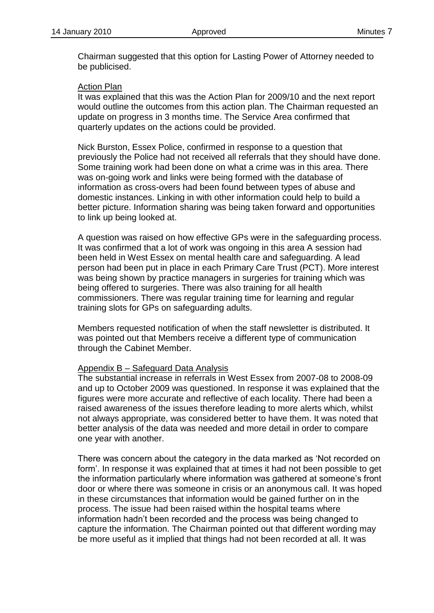Chairman suggested that this option for Lasting Power of Attorney needed to be publicised.

### Action Plan

It was explained that this was the Action Plan for 2009/10 and the next report would outline the outcomes from this action plan. The Chairman requested an update on progress in 3 months time. The Service Area confirmed that quarterly updates on the actions could be provided.

Nick Burston, Essex Police, confirmed in response to a question that previously the Police had not received all referrals that they should have done. Some training work had been done on what a crime was in this area. There was on-going work and links were being formed with the database of information as cross-overs had been found between types of abuse and domestic instances. Linking in with other information could help to build a better picture. Information sharing was being taken forward and opportunities to link up being looked at.

A question was raised on how effective GPs were in the safeguarding process. It was confirmed that a lot of work was ongoing in this area A session had been held in West Essex on mental health care and safeguarding. A lead person had been put in place in each Primary Care Trust (PCT). More interest was being shown by practice managers in surgeries for training which was being offered to surgeries. There was also training for all health commissioners. There was regular training time for learning and regular training slots for GPs on safeguarding adults.

Members requested notification of when the staff newsletter is distributed. It was pointed out that Members receive a different type of communication through the Cabinet Member.

#### Appendix B – Safeguard Data Analysis

The substantial increase in referrals in West Essex from 2007-08 to 2008-09 and up to October 2009 was questioned. In response it was explained that the figures were more accurate and reflective of each locality. There had been a raised awareness of the issues therefore leading to more alerts which, whilst not always appropriate, was considered better to have them. It was noted that better analysis of the data was needed and more detail in order to compare one year with another.

There was concern about the category in the data marked as 'Not recorded on form'. In response it was explained that at times it had not been possible to get the information particularly where information was gathered at someone's front door or where there was someone in crisis or an anonymous call. It was hoped in these circumstances that information would be gained further on in the process. The issue had been raised within the hospital teams where information hadn't been recorded and the process was being changed to capture the information. The Chairman pointed out that different wording may be more useful as it implied that things had not been recorded at all. It was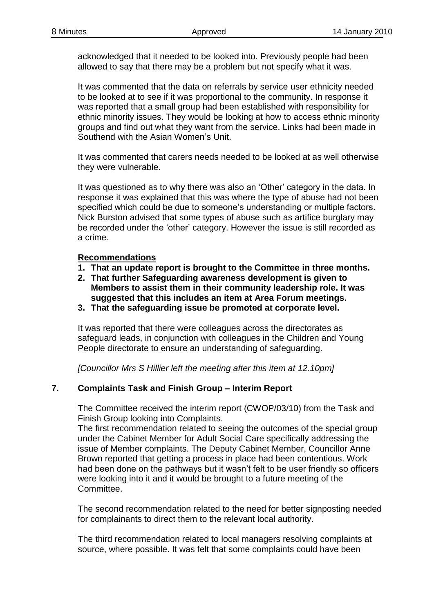acknowledged that it needed to be looked into. Previously people had been allowed to say that there may be a problem but not specify what it was.

It was commented that the data on referrals by service user ethnicity needed to be looked at to see if it was proportional to the community. In response it was reported that a small group had been established with responsibility for ethnic minority issues. They would be looking at how to access ethnic minority groups and find out what they want from the service. Links had been made in Southend with the Asian Women's Unit.

It was commented that carers needs needed to be looked at as well otherwise they were vulnerable.

It was questioned as to why there was also an 'Other' category in the data. In response it was explained that this was where the type of abuse had not been specified which could be due to someone's understanding or multiple factors. Nick Burston advised that some types of abuse such as artifice burglary may be recorded under the 'other' category. However the issue is still recorded as a crime.

## **Recommendations**

- **1. That an update report is brought to the Committee in three months.**
- **2. That further Safeguarding awareness development is given to Members to assist them in their community leadership role. It was suggested that this includes an item at Area Forum meetings.**
- **3. That the safeguarding issue be promoted at corporate level.**

It was reported that there were colleagues across the directorates as safeguard leads, in conjunction with colleagues in the Children and Young People directorate to ensure an understanding of safeguarding.

*[Councillor Mrs S Hillier left the meeting after this item at 12.10pm]*

## **7. Complaints Task and Finish Group – Interim Report**

The Committee received the interim report (CWOP/03/10) from the Task and Finish Group looking into Complaints.

The first recommendation related to seeing the outcomes of the special group under the Cabinet Member for Adult Social Care specifically addressing the issue of Member complaints. The Deputy Cabinet Member, Councillor Anne Brown reported that getting a process in place had been contentious. Work had been done on the pathways but it wasn't felt to be user friendly so officers were looking into it and it would be brought to a future meeting of the Committee.

The second recommendation related to the need for better signposting needed for complainants to direct them to the relevant local authority.

The third recommendation related to local managers resolving complaints at source, where possible. It was felt that some complaints could have been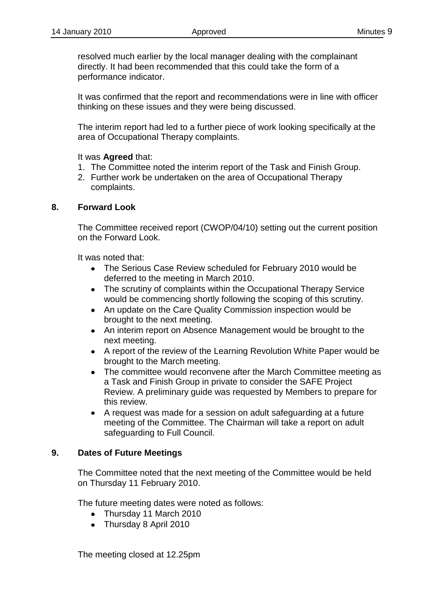resolved much earlier by the local manager dealing with the complainant directly. It had been recommended that this could take the form of a performance indicator.

It was confirmed that the report and recommendations were in line with officer thinking on these issues and they were being discussed.

The interim report had led to a further piece of work looking specifically at the area of Occupational Therapy complaints.

### It was **Agreed** that:

- 1. The Committee noted the interim report of the Task and Finish Group.
- 2. Further work be undertaken on the area of Occupational Therapy complaints.

### **8. Forward Look**

The Committee received report (CWOP/04/10) setting out the current position on the Forward Look.

It was noted that:

- The Serious Case Review scheduled for February 2010 would be deferred to the meeting in March 2010.
- The scrutiny of complaints within the Occupational Therapy Service would be commencing shortly following the scoping of this scrutiny.
- An update on the Care Quality Commission inspection would be brought to the next meeting.
- An interim report on Absence Management would be brought to the next meeting.
- A report of the review of the Learning Revolution White Paper would be brought to the March meeting.
- The committee would reconvene after the March Committee meeting as  $\bullet$ a Task and Finish Group in private to consider the SAFE Project Review. A preliminary guide was requested by Members to prepare for this review.
- A request was made for a session on adult safeguarding at a future meeting of the Committee. The Chairman will take a report on adult safeguarding to Full Council.

## **9. Dates of Future Meetings**

The Committee noted that the next meeting of the Committee would be held on Thursday 11 February 2010.

The future meeting dates were noted as follows:

- Thursday 11 March 2010
- Thursday 8 April 2010

The meeting closed at 12.25pm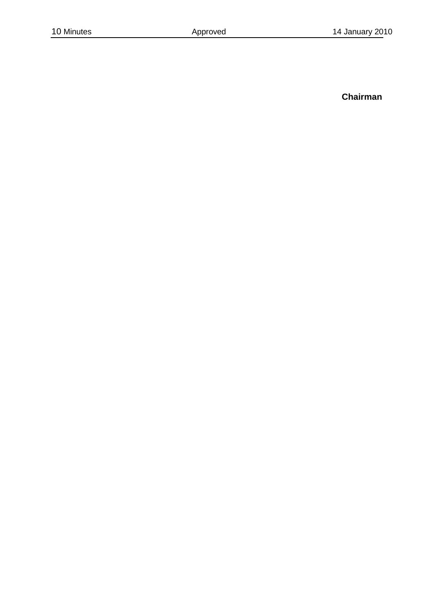**Chairman**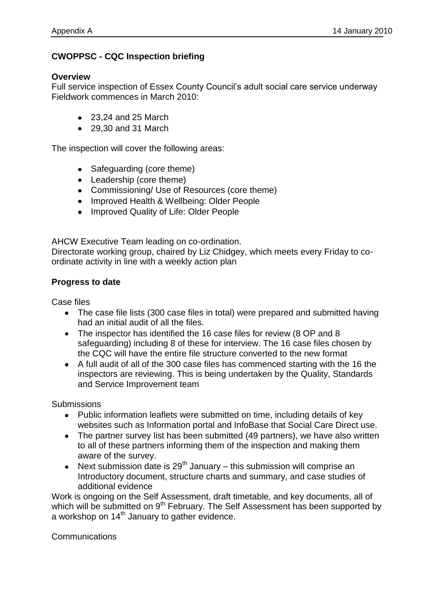# **CWOPPSC - CQC Inspection briefing**

### **Overview**

Full service inspection of Essex County Council's adult social care service underway Fieldwork commences in March 2010:

- 23.24 and 25 March
- 29,30 and 31 March

The inspection will cover the following areas:

- Safeguarding (core theme)
- Leadership (core theme)
- Commissioning/ Use of Resources (core theme)
- Improved Health & Wellbeing: Older People
- Improved Quality of Life: Older People

AHCW Executive Team leading on co-ordination.

Directorate working group, chaired by Liz Chidgey, which meets every Friday to coordinate activity in line with a weekly action plan

### **Progress to date**

Case files

- The case file lists (300 case files in total) were prepared and submitted having had an initial audit of all the files.
- The inspector has identified the 16 case files for review (8 OP and 8 safeguarding) including 8 of these for interview. The 16 case files chosen by the CQC will have the entire file structure converted to the new format
- A full audit of all of the 300 case files has commenced starting with the 16 the inspectors are reviewing. This is being undertaken by the Quality, Standards and Service Improvement team

**Submissions** 

- Public information leaflets were submitted on time, including details of key websites such as Information portal and InfoBase that Social Care Direct use.
- The partner survey list has been submitted (49 partners), we have also written to all of these partners informing them of the inspection and making them aware of the survey.
- Next submission date is  $29<sup>th</sup>$  January this submission will comprise an Introductory document, structure charts and summary, and case studies of additional evidence

Work is ongoing on the Self Assessment, draft timetable, and key documents, all of which will be submitted on 9<sup>th</sup> February. The Self Assessment has been supported by a workshop on 14<sup>th</sup> January to gather evidence.

**Communications**